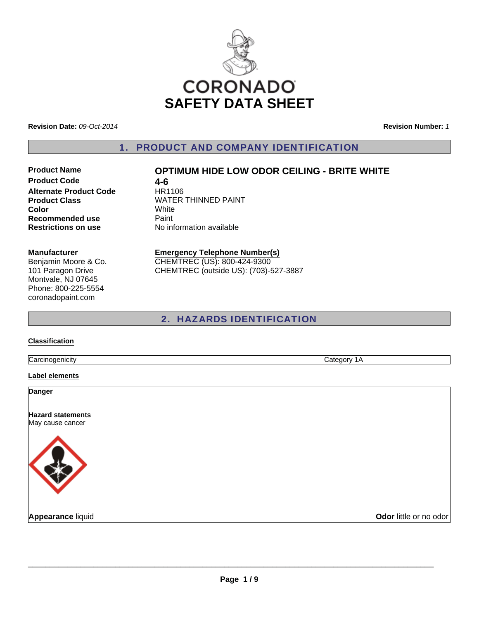

**Revision Date:** *09-Oct-2014*

**Revision Number:** *1*

1. PRODUCT AND COMPANY IDENTIFICATION

# **Product Code 4-6**<br> **Alternate Product Code** HR1106 **Alternate Product Code Color** White **Recommended use Paint**

## **Product Name OPTIMUM HIDE LOW ODOR CEILING - BRITE WHITE**

**Product Class WATER THINNED PAINT Restrictions on use** No information available

#### **Manufacturer**

Benjamin Moore & Co. 101 Paragon Drive Montvale, NJ 07645 Phone: 800-225-5554 coronadopaint.com

#### **Emergency Telephone Number(s)** CHEMTREC (US): 800-424-9300

CHEMTREC (outside US): (703)-527-3887

## 2. HAZARDS IDENTIFICATION

### **Classification**

Carcinogenicity Category 1A

**Label elements**

**Danger**

**Hazard statements** May cause cancer



**Appearance** liquid **COVID-100 COVID-100 COVID-100 COVID-100 COVID-100 COVID-100 COVID-100 COVID-100 COVID-100 COVID-100 COVID-100 COVID-100 COVID-100 COVID-100 COVID-100 COVID-100 COVID-100 COVID-100 COVID-100 COVID-100 C**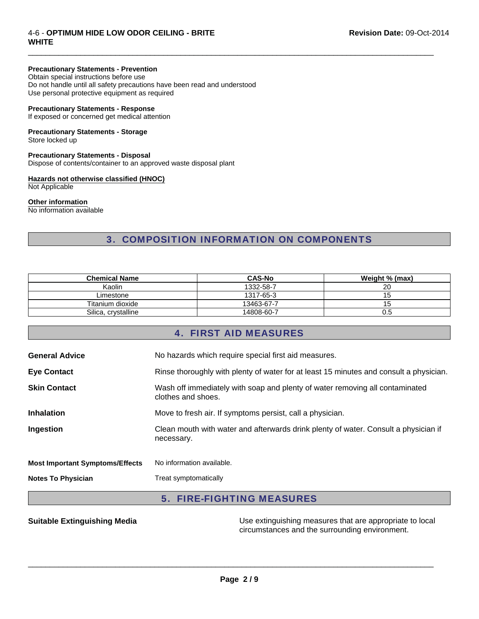### 4-6 - **OPTIMUM HIDE LOW ODOR CEILING - BRITE WHITE**

## **Precautionary Statements - Prevention**

Obtain special instructions before use Do not handle until all safety precautions have been read and understood Use personal protective equipment as required

### **Precautionary Statements - Response**

If exposed or concerned get medical attention

## **Precautionary Statements - Storage**

Store locked up

## **Precautionary Statements - Disposal**

Dispose of contents/container to an approved waste disposal plant

## **Hazards not otherwise classified (HNOC)**

Not Applicable

#### **Other information**

No information available

## 3. COMPOSITION INFORMATION ON COMPONENTS

 $\Box$ 

| <b>Chemical Name</b> | <b>CAS-No</b> | Weight % (max) |
|----------------------|---------------|----------------|
| Kaolin               | 1332-58-7     | 20             |
| ∟imestone            | 1317-65-3     |                |
| Titanium dioxide     | 13463-67-7    | 15             |
| Silica, crystalline  | 14808-60-7    | U.O            |

## 4. FIRST AID MEASURES

| <b>General Advice</b>                  | No hazards which require special first aid measures.                                               |
|----------------------------------------|----------------------------------------------------------------------------------------------------|
| <b>Eye Contact</b>                     | Rinse thoroughly with plenty of water for at least 15 minutes and consult a physician.             |
| <b>Skin Contact</b>                    | Wash off immediately with soap and plenty of water removing all contaminated<br>clothes and shoes. |
| <b>Inhalation</b>                      | Move to fresh air. If symptoms persist, call a physician.                                          |
| Ingestion                              | Clean mouth with water and afterwards drink plenty of water. Consult a physician if<br>necessary.  |
| <b>Most Important Symptoms/Effects</b> | No information available.                                                                          |
| <b>Notes To Physician</b>              | Treat symptomatically                                                                              |
|                                        |                                                                                                    |

## 5. FIRE-FIGHTING MEASURES

**Suitable Extinguishing Media** Maximum Use extinguishing measures that are appropriate to local circumstances and the surrounding environment.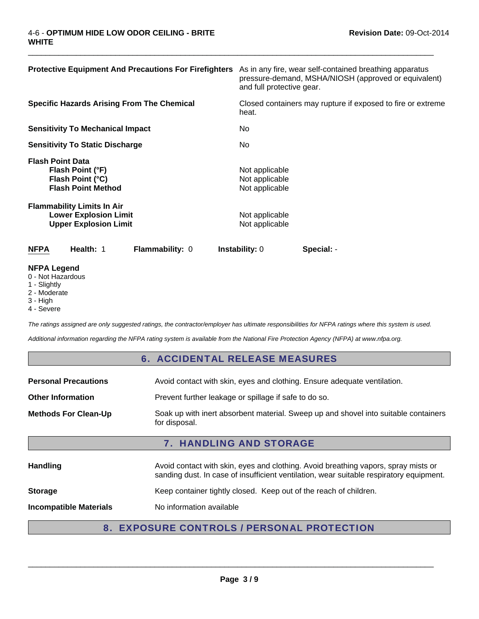| <b>Protective Equipment And Precautions For Firefighters</b>                                      | As in any fire, wear self-contained breathing apparatus<br>pressure-demand, MSHA/NIOSH (approved or equivalent)<br>and full protective gear. |
|---------------------------------------------------------------------------------------------------|----------------------------------------------------------------------------------------------------------------------------------------------|
| <b>Specific Hazards Arising From The Chemical</b>                                                 | Closed containers may rupture if exposed to fire or extreme<br>heat.                                                                         |
| <b>Sensitivity To Mechanical Impact</b>                                                           | No.                                                                                                                                          |
| <b>Sensitivity To Static Discharge</b>                                                            | No.                                                                                                                                          |
| <b>Flash Point Data</b><br>Flash Point (°F)<br>Flash Point (°C)<br><b>Flash Point Method</b>      | Not applicable<br>Not applicable<br>Not applicable                                                                                           |
| <b>Flammability Limits In Air</b><br><b>Lower Explosion Limit</b><br><b>Upper Explosion Limit</b> | Not applicable<br>Not applicable                                                                                                             |
| Health: 1<br><b>NFPA</b><br><b>Flammability: 0</b>                                                | <b>Instability: 0</b><br>Special: -                                                                                                          |
| NEDA Logand                                                                                       |                                                                                                                                              |

 $\Box$ 

- **NFPA Legend** 0 - Not Hazardous
- 1 Slightly
- 2 Moderate
- 3 High
- 4 Severe

*The ratings assigned are only suggested ratings, the contractor/employer has ultimate responsibilities for NFPA ratings where this system is used.*

*Additional information regarding the NFPA rating system is available from the National Fire Protection Agency (NFPA) at www.nfpa.org.*

## 6. ACCIDENTAL RELEASE MEASURES

| <b>Personal Precautions</b>    | Avoid contact with skin, eyes and clothing. Ensure adequate ventilation.                                                                                                      |  |
|--------------------------------|-------------------------------------------------------------------------------------------------------------------------------------------------------------------------------|--|
| <b>Other Information</b>       | Prevent further leakage or spillage if safe to do so.                                                                                                                         |  |
| <b>Methods For Clean-Up</b>    | Soak up with inert absorbent material. Sweep up and shovel into suitable containers<br>for disposal.                                                                          |  |
| <b>7. HANDLING AND STORAGE</b> |                                                                                                                                                                               |  |
|                                |                                                                                                                                                                               |  |
| Handling                       | Avoid contact with skin, eyes and clothing. Avoid breathing vapors, spray mists or<br>sanding dust. In case of insufficient ventilation, wear suitable respiratory equipment. |  |
| <b>Storage</b>                 | Keep container tightly closed. Keep out of the reach of children.                                                                                                             |  |

## 8. EXPOSURE CONTROLS / PERSONAL PROTECTION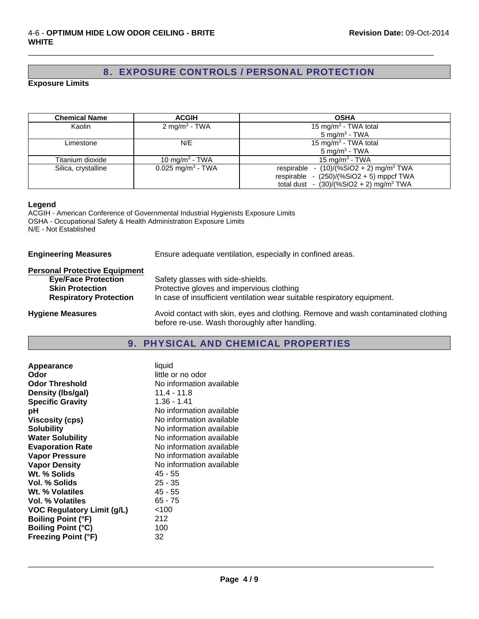## 8. EXPOSURE CONTROLS / PERSONAL PROTECTION

 $\Box$ 

**Exposure Limits**

| <b>Chemical Name</b> | <b>ACGIH</b>                    | <b>OSHA</b>                                           |
|----------------------|---------------------------------|-------------------------------------------------------|
| Kaolin               | $2 \text{ mg/m}^3$ - TWA        | 15 mg/m <sup>3</sup> - TWA total                      |
|                      |                                 | 5 mg/m <sup>3</sup> - TWA                             |
| Limestone            | N/E                             | 15 mg/m <sup>3</sup> - TWA total                      |
|                      |                                 | 5 mg/m <sup>3</sup> - TWA                             |
| Titanium dioxide     | 10 mg/m <sup>3</sup> - TWA      | 15 mg/m <sup>3</sup> - TWA                            |
| Silica, crystalline  | $0.025$ mg/m <sup>3</sup> - TWA | respirable - $(10)/(%SiO2 + 2)$ mg/m <sup>3</sup> TWA |
|                      |                                 | respirable - $(250)/(%SiO2 + 5)$ mppcf TWA            |
|                      |                                 | total dust - $(30)/(%SiO2 + 2)$ mg/m <sup>3</sup> TWA |

#### **Legend**

ACGIH - American Conference of Governmental Industrial Hygienists Exposure Limits OSHA - Occupational Safety & Health Administration Exposure Limits N/E - Not Established

| <b>Engineering Measures</b> |  |
|-----------------------------|--|
|                             |  |

**Engineering Measures** Ensure adequate ventilation, especially in confined areas.

## **Personal Protective Equipment**

| <b>Eye/Face Protection</b>    | Safety glasses with side-shields.                                                                                                   |
|-------------------------------|-------------------------------------------------------------------------------------------------------------------------------------|
| <b>Skin Protection</b>        | Protective gloves and impervious clothing                                                                                           |
| <b>Respiratory Protection</b> | In case of insufficient ventilation wear suitable respiratory equipment.                                                            |
| <b>Hygiene Measures</b>       | Avoid contact with skin, eyes and clothing. Remove and wash contaminated clothing<br>before re-use. Wash thoroughly after handling. |

## 9. PHYSICAL AND CHEMICAL PROPERTIES

| Appearance                        | liquid                   |
|-----------------------------------|--------------------------|
| Odor                              | little or no odor        |
| <b>Odor Threshold</b>             | No information available |
| Density (Ibs/gal)                 | $11.4 - 11.8$            |
| <b>Specific Gravity</b>           | 1.36 - 1.41              |
| рH                                | No information available |
| <b>Viscosity (cps)</b>            | No information available |
| <b>Solubility</b>                 | No information available |
| <b>Water Solubility</b>           | No information available |
| <b>Evaporation Rate</b>           | No information available |
| <b>Vapor Pressure</b>             | No information available |
| <b>Vapor Density</b>              | No information available |
| Wt. % Solids                      | 45 - 55                  |
| Vol. % Solids                     | $25 - 35$                |
| Wt. % Volatiles                   | 45 - 55                  |
| Vol. % Volatiles                  | $65 - 75$                |
| <b>VOC Regulatory Limit (g/L)</b> | < 100                    |
| <b>Boiling Point (°F)</b>         | 212                      |
| <b>Boiling Point (°C)</b>         | 100                      |
| <b>Freezing Point (°F)</b>        | 32                       |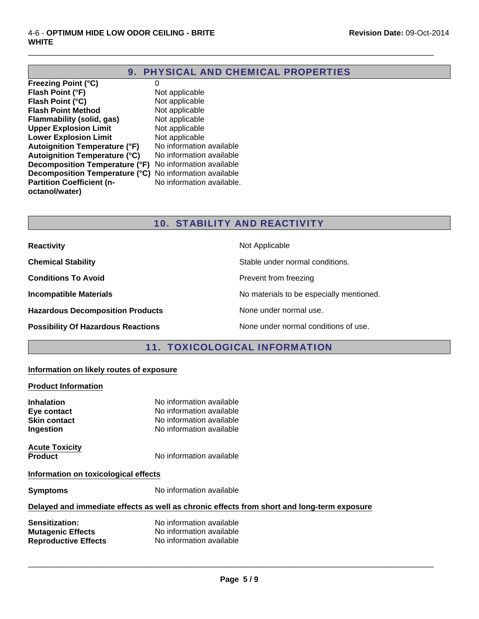## 9. PHYSICAL AND CHEMICAL PROPERTIES

 $\Box$ 

**Freezing Point (°C)** 0 **Flash Point (°F)** Not applicable **Flash Point (°C)**<br> **Flash Point Method** Not applicable<br>
Not applicable **Flash Point Method** Not applicable<br> **Flammability (solid, gas)** Not applicable **Flammability (solid, gas) Upper Explosion Limit** Not applicable<br> **Lower Explosion Limit** Not applicable **Lower Explosion Limit** Not applicable<br> **Autoignition Temperature (°F)** No information available **Autoignition Temperature (°F)** Autoignition Temperature (°C) No information available **Decomposition Temperature (°F)** No information available **Decomposition Temperature (°C)** No information available **Partition Coefficient (noctanol/water)**

No information available.

## 10. STABILITY AND REACTIVITY

| <b>Reactivity</b>                         | Not Applicable                           |
|-------------------------------------------|------------------------------------------|
| <b>Chemical Stability</b>                 | Stable under normal conditions.          |
| <b>Conditions To Avoid</b>                | Prevent from freezing                    |
| <b>Incompatible Materials</b>             | No materials to be especially mentioned. |
| <b>Hazardous Decomposition Products</b>   | None under normal use.                   |
| <b>Possibility Of Hazardous Reactions</b> | None under normal conditions of use.     |

## 11. TOXICOLOGICAL INFORMATION

## **Information on likely routes of exposure**

### **Product Information**

| <b>Inhalation</b><br>Eye contact<br><b>Skin contact</b><br>Ingestion | No information available<br>No information available<br>No information available<br>No information available |  |
|----------------------------------------------------------------------|--------------------------------------------------------------------------------------------------------------|--|
| <b>Acute Toxicity</b><br><b>Product</b>                              | No information available                                                                                     |  |
| Information on toxicological effects                                 |                                                                                                              |  |
| <b>Symptoms</b>                                                      | No information available                                                                                     |  |
|                                                                      |                                                                                                              |  |

### **Delayed and immediate effects as well as chronic effects from short and long-term exposure**

| <b>Sensitization:</b>       | No information available |
|-----------------------------|--------------------------|
| <b>Mutagenic Effects</b>    | No information available |
| <b>Reproductive Effects</b> | No information available |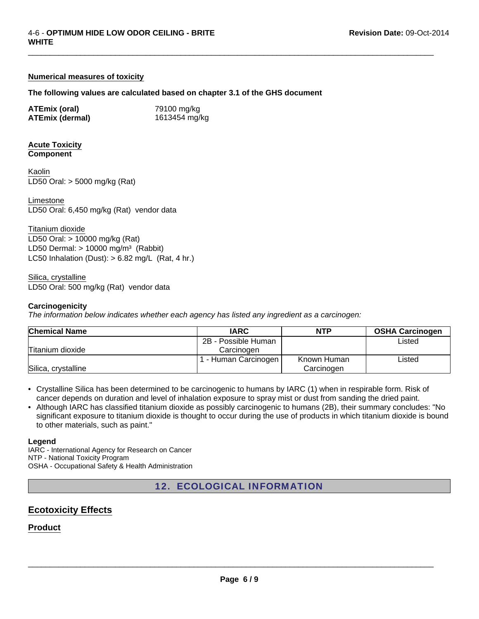### **Numerical measures of toxicity**

#### **The following values are calculated based on chapter 3.1 of the GHS document**

 $\Box$ 

| <b>ATEmix (oral)</b>   | 79100 mg/kg   |
|------------------------|---------------|
| <b>ATEmix (dermal)</b> | 1613454 mg/kg |

#### **Acute Toxicity Component**

LD50 Oral: > 5000 mg/kg (Rat) Kaolin

Limestone LD50 Oral: 6,450 mg/kg (Rat) vendor data

Titanium dioxide LD50 Oral: > 10000 mg/kg (Rat) LD50 Dermal:  $> 10000$  mg/m<sup>3</sup> (Rabbit) LC50 Inhalation (Dust):  $> 6.82$  mg/L (Rat, 4 hr.)

LD50 Oral: 500 mg/kg (Rat) vendor data Silica, crystalline

#### **Carcinogenicity**

*The information below indicates whether each agency has listed any ingredient as a carcinogen:*

| <b>Chemical Name</b> | <b>IARC</b>         | <b>NTP</b>  | <b>OSHA Carcinogen</b> |
|----------------------|---------------------|-------------|------------------------|
|                      | 2B - Possible Human |             | Listed                 |
| Titanium dioxide     | Carcinogen          |             |                        |
|                      | - Human Carcinogen  | Known Human | Listed                 |
| Silica, crystalline  |                     | Carcinogen  |                        |

• Crystalline Silica has been determined to be carcinogenic to humans by IARC (1) when in respirable form. Risk of cancer depends on duration and level of inhalation exposure to spray mist or dust from sanding the dried paint.

• Although IARC has classified titanium dioxide as possibly carcinogenic to humans (2B), their summary concludes: "No significant exposure to titanium dioxide is thought to occur during the use of products in which titanium dioxide is bound to other materials, such as paint."

#### **Legend**

IARC - International Agency for Research on Cancer NTP - National Toxicity Program OSHA - Occupational Safety & Health Administration

12. ECOLOGICAL INFORMATION

## **Ecotoxicity Effects**

## **Product**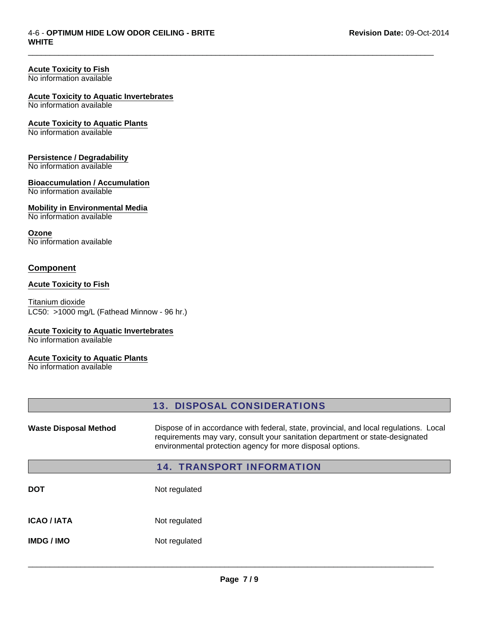### **Acute Toxicity to Fish**

No information available

## **Acute Toxicity to Aquatic Invertebrates**

No information available

## **Acute Toxicity to Aquatic Plants**

No information available

### **Persistence / Degradability**

No information available

### **Bioaccumulation / Accumulation**

No information available

### **Mobility in Environmental Media**

No information available

#### **Ozone**

No information available

## **Component**

#### **Acute Toxicity to Fish**

Titanium dioxide LC50: >1000 mg/L (Fathead Minnow - 96 hr.)

## **Acute Toxicity to Aquatic Invertebrates**

No information available

## **Acute Toxicity to Aquatic Plants**

No information available

## 13. DISPOSAL CONSIDERATIONS

 $\Box$ 

Waste Disposal Method **Dispose of in accordance with federal, state, provincial, and local regulations. Local** requirements may vary, consult your sanitation department or state-designated environmental protection agency for more disposal options.

## 14. TRANSPORT INFORMATION

| DOT                | Not regulated |
|--------------------|---------------|
| <b>ICAO / IATA</b> | Not regulated |
| <b>IMDG/IMO</b>    | Not regulated |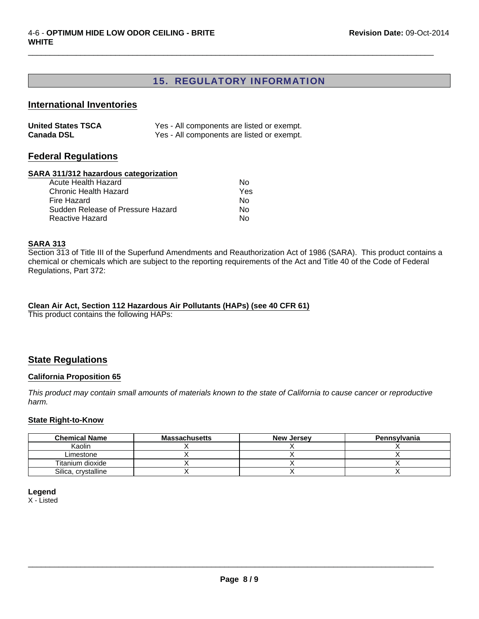## 15. REGULATORY INFORMATION

 $\Box$ 

## **International Inventories**

| <b>United States TSCA</b> | Yes - All components are listed or exempt. |
|---------------------------|--------------------------------------------|
| <b>Canada DSL</b>         | Yes - All components are listed or exempt. |

## **Federal Regulations**

#### **SARA 311/312 hazardous categorization**

| N٥  |
|-----|
| Yes |
| N٥  |
| N٥  |
| N٥  |
|     |

### **SARA 313**

Section 313 of Title III of the Superfund Amendments and Reauthorization Act of 1986 (SARA). This product contains a chemical or chemicals which are subject to the reporting requirements of the Act and Title 40 of the Code of Federal Regulations, Part 372:

## **Clean Air Act, Section 112 Hazardous Air Pollutants (HAPs) (see 40 CFR 61)**

This product contains the following HAPs:

## **State Regulations**

### **California Proposition 65**

*This product may contain small amounts of materials known to the state of California to cause cancer or reproductive harm.*

### **State Right-to-Know**

| <b>Chemical Name</b> | <b>Massachusetts</b> | <b>New Jersey</b> | Pennsylvania |
|----------------------|----------------------|-------------------|--------------|
| Kaolin               |                      |                   |              |
| Limestone            |                      |                   |              |
| Titanium dioxide     |                      |                   |              |
| Silica, crystalline  |                      |                   |              |

## **Legend**

X - Listed